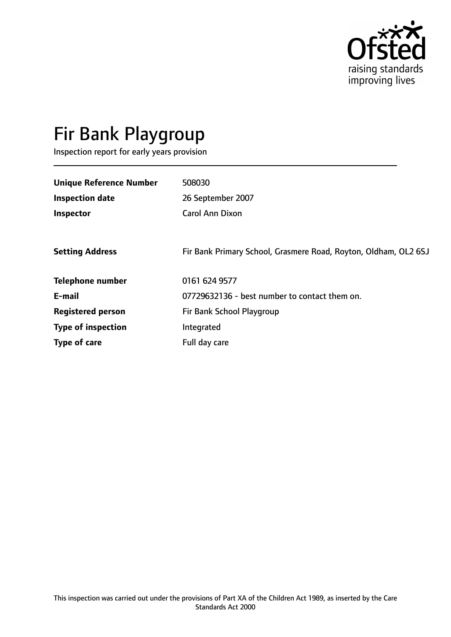

# Fir Bank Playgroup

Inspection report for early years provision

| <b>Unique Reference Number</b> | 508030                                                          |
|--------------------------------|-----------------------------------------------------------------|
| <b>Inspection date</b>         | 26 September 2007                                               |
| Inspector                      | <b>Carol Ann Dixon</b>                                          |
|                                |                                                                 |
| <b>Setting Address</b>         | Fir Bank Primary School, Grasmere Road, Royton, Oldham, OL2 6SJ |
| <b>Telephone number</b>        | 0161 624 9577                                                   |
| E-mail                         | 07729632136 - best number to contact them on.                   |
| <b>Registered person</b>       | Fir Bank School Playgroup                                       |
| <b>Type of inspection</b>      | Integrated                                                      |
| Type of care                   | Full day care                                                   |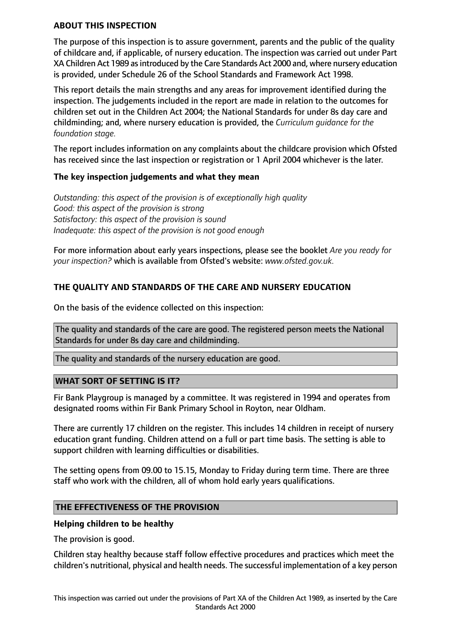#### **ABOUT THIS INSPECTION**

The purpose of this inspection is to assure government, parents and the public of the quality of childcare and, if applicable, of nursery education. The inspection was carried out under Part XA Children Act 1989 as introduced by the Care Standards Act 2000 and, where nursery education is provided, under Schedule 26 of the School Standards and Framework Act 1998.

This report details the main strengths and any areas for improvement identified during the inspection. The judgements included in the report are made in relation to the outcomes for children set out in the Children Act 2004; the National Standards for under 8s day care and childminding; and, where nursery education is provided, the *Curriculum guidance for the foundation stage.*

The report includes information on any complaints about the childcare provision which Ofsted has received since the last inspection or registration or 1 April 2004 whichever is the later.

## **The key inspection judgements and what they mean**

*Outstanding: this aspect of the provision is of exceptionally high quality Good: this aspect of the provision is strong Satisfactory: this aspect of the provision is sound Inadequate: this aspect of the provision is not good enough*

For more information about early years inspections, please see the booklet *Are you ready for your inspection?* which is available from Ofsted's website: *www.ofsted.gov.uk.*

# **THE QUALITY AND STANDARDS OF THE CARE AND NURSERY EDUCATION**

On the basis of the evidence collected on this inspection:

The quality and standards of the care are good. The registered person meets the National Standards for under 8s day care and childminding.

The quality and standards of the nursery education are good.

#### **WHAT SORT OF SETTING IS IT?**

Fir Bank Playgroup is managed by a committee. It was registered in 1994 and operates from designated rooms within Fir Bank Primary School in Royton, near Oldham.

There are currently 17 children on the register. This includes 14 children in receipt of nursery education grant funding. Children attend on a full or part time basis. The setting is able to support children with learning difficulties or disabilities.

The setting opens from 09.00 to 15.15, Monday to Friday during term time. There are three staff who work with the children, all of whom hold early years qualifications.

#### **THE EFFECTIVENESS OF THE PROVISION**

#### **Helping children to be healthy**

The provision is good.

Children stay healthy because staff follow effective procedures and practices which meet the children's nutritional, physical and health needs. The successful implementation of a key person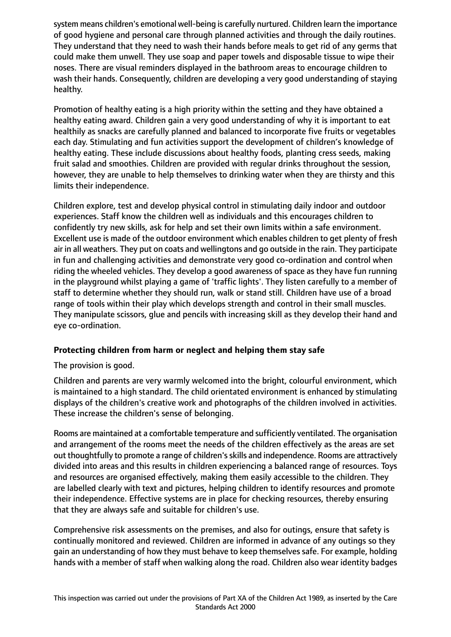system means children's emotional well-being is carefully nurtured. Children learn the importance of good hygiene and personal care through planned activities and through the daily routines. They understand that they need to wash their hands before meals to get rid of any germs that could make them unwell. They use soap and paper towels and disposable tissue to wipe their noses. There are visual reminders displayed in the bathroom areas to encourage children to wash their hands. Consequently, children are developing a very good understanding of staying healthy.

Promotion of healthy eating is a high priority within the setting and they have obtained a healthy eating award. Children gain a very good understanding of why it is important to eat healthily as snacks are carefully planned and balanced to incorporate five fruits or vegetables each day. Stimulating and fun activities support the development of children's knowledge of healthy eating. These include discussions about healthy foods, planting cress seeds, making fruit salad and smoothies. Children are provided with regular drinks throughout the session, however, they are unable to help themselves to drinking water when they are thirsty and this limits their independence.

Children explore, test and develop physical control in stimulating daily indoor and outdoor experiences. Staff know the children well as individuals and this encourages children to confidently try new skills, ask for help and set their own limits within a safe environment. Excellent use is made of the outdoor environment which enables children to get plenty of fresh air in all weathers. They put on coats and wellingtons and go outside in the rain. They participate in fun and challenging activities and demonstrate very good co-ordination and control when riding the wheeled vehicles. They develop a good awareness of space as they have fun running in the playground whilst playing a game of 'traffic lights'. They listen carefully to a member of staff to determine whether they should run, walk or stand still. Children have use of a broad range of tools within their play which develops strength and control in their small muscles. They manipulate scissors, glue and pencils with increasing skill as they develop their hand and eye co-ordination.

## **Protecting children from harm or neglect and helping them stay safe**

The provision is good.

Children and parents are very warmly welcomed into the bright, colourful environment, which is maintained to a high standard. The child orientated environment is enhanced by stimulating displays of the children's creative work and photographs of the children involved in activities. These increase the children's sense of belonging.

Rooms are maintained at a comfortable temperature and sufficiently ventilated. The organisation and arrangement of the rooms meet the needs of the children effectively as the areas are set out thoughtfully to promote a range of children'sskills and independence. Rooms are attractively divided into areas and this results in children experiencing a balanced range of resources. Toys and resources are organised effectively, making them easily accessible to the children. They are labelled clearly with text and pictures, helping children to identify resources and promote their independence. Effective systems are in place for checking resources, thereby ensuring that they are always safe and suitable for children's use.

Comprehensive risk assessments on the premises, and also for outings, ensure that safety is continually monitored and reviewed. Children are informed in advance of any outings so they gain an understanding of how they must behave to keep themselves safe. For example, holding hands with a member of staff when walking along the road. Children also wear identity badges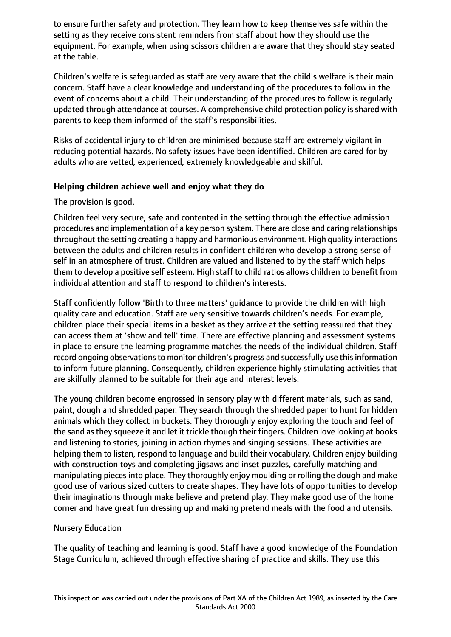to ensure further safety and protection. They learn how to keep themselves safe within the setting as they receive consistent reminders from staff about how they should use the equipment. For example, when using scissors children are aware that they should stay seated at the table.

Children's welfare is safeguarded as staff are very aware that the child's welfare is their main concern. Staff have a clear knowledge and understanding of the procedures to follow in the event of concerns about a child. Their understanding of the procedures to follow is regularly updated through attendance at courses. A comprehensive child protection policy is shared with parents to keep them informed of the staff's responsibilities.

Risks of accidental injury to children are minimised because staff are extremely vigilant in reducing potential hazards. No safety issues have been identified. Children are cared for by adults who are vetted, experienced, extremely knowledgeable and skilful.

## **Helping children achieve well and enjoy what they do**

The provision is good.

Children feel very secure, safe and contented in the setting through the effective admission procedures and implementation of a key person system. There are close and caring relationships throughout the setting creating a happy and harmonious environment. High quality interactions between the adults and children results in confident children who develop a strong sense of self in an atmosphere of trust. Children are valued and listened to by the staff which helps them to develop a positive self esteem. High staff to child ratios allows children to benefit from individual attention and staff to respond to children's interests.

Staff confidently follow 'Birth to three matters' guidance to provide the children with high quality care and education. Staff are very sensitive towards children's needs. For example, children place their special items in a basket as they arrive at the setting reassured that they can access them at 'show and tell' time. There are effective planning and assessment systems in place to ensure the learning programme matches the needs of the individual children. Staff record ongoing observations to monitor children's progress and successfully use this information to inform future planning. Consequently, children experience highly stimulating activities that are skilfully planned to be suitable for their age and interest levels.

The young children become engrossed in sensory play with different materials, such as sand, paint, dough and shredded paper. They search through the shredded paper to hunt for hidden animals which they collect in buckets. They thoroughly enjoy exploring the touch and feel of the sand asthey squeeze it and let it trickle though their fingers. Children love looking at books and listening to stories, joining in action rhymes and singing sessions. These activities are helping them to listen, respond to language and build their vocabulary. Children enjoy building with construction toys and completing jigsaws and inset puzzles, carefully matching and manipulating pieces into place. They thoroughly enjoy moulding or rolling the dough and make good use of various sized cutters to create shapes. They have lots of opportunities to develop their imaginations through make believe and pretend play. They make good use of the home corner and have great fun dressing up and making pretend meals with the food and utensils.

## Nursery Education

The quality of teaching and learning is good. Staff have a good knowledge of the Foundation Stage Curriculum, achieved through effective sharing of practice and skills. They use this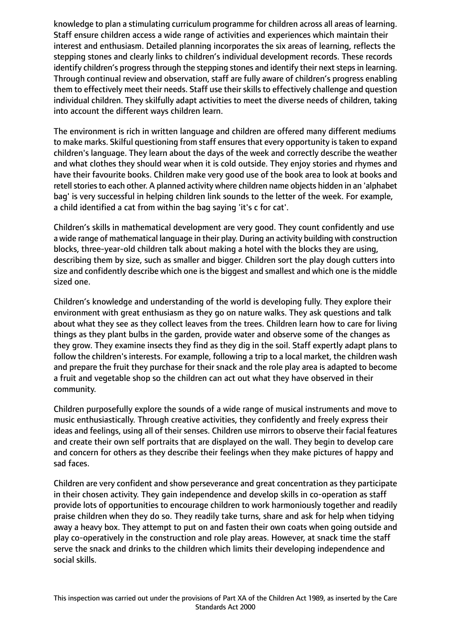knowledge to plan a stimulating curriculum programme for children across all areas of learning. Staff ensure children access a wide range of activities and experiences which maintain their interest and enthusiasm. Detailed planning incorporates the six areas of learning, reflects the stepping stones and clearly links to children's individual development records. These records identify children's progress through the stepping stones and identify their next steps in learning. Through continual review and observation, staff are fully aware of children's progress enabling them to effectively meet their needs. Staff use their skills to effectively challenge and question individual children. They skilfully adapt activities to meet the diverse needs of children, taking into account the different ways children learn.

The environment is rich in written language and children are offered many different mediums to make marks. Skilful questioning from staff ensures that every opportunity is taken to expand children's language. They learn about the days of the week and correctly describe the weather and what clothes they should wear when it is cold outside. They enjoy stories and rhymes and have their favourite books. Children make very good use of the book area to look at books and retell stories to each other. A planned activity where children name objects hidden in an 'alphabet bag' is very successful in helping children link sounds to the letter of the week. For example, a child identified a cat from within the bag saying 'it's c for cat'.

Children's skills in mathematical development are very good. They count confidently and use a wide range of mathematical language in their play. During an activity building with construction blocks, three-year-old children talk about making a hotel with the blocks they are using, describing them by size, such as smaller and bigger. Children sort the play dough cutters into size and confidently describe which one is the biggest and smallest and which one is the middle sized one.

Children's knowledge and understanding of the world is developing fully. They explore their environment with great enthusiasm as they go on nature walks. They ask questions and talk about what they see as they collect leaves from the trees. Children learn how to care for living things as they plant bulbs in the garden, provide water and observe some of the changes as they grow. They examine insects they find as they dig in the soil. Staff expertly adapt plans to follow the children's interests. For example, following a trip to a local market, the children wash and prepare the fruit they purchase for their snack and the role play area is adapted to become a fruit and vegetable shop so the children can act out what they have observed in their community.

Children purposefully explore the sounds of a wide range of musical instruments and move to music enthusiastically. Through creative activities, they confidently and freely express their ideas and feelings, using all of their senses. Children use mirrors to observe their facial features and create their own self portraits that are displayed on the wall. They begin to develop care and concern for others as they describe their feelings when they make pictures of happy and sad faces.

Children are very confident and show perseverance and great concentration as they participate in their chosen activity. They gain independence and develop skills in co-operation as staff provide lots of opportunities to encourage children to work harmoniously together and readily praise children when they do so. They readily take turns, share and ask for help when tidying away a heavy box. They attempt to put on and fasten their own coats when going outside and play co-operatively in the construction and role play areas. However, at snack time the staff serve the snack and drinks to the children which limits their developing independence and social skills.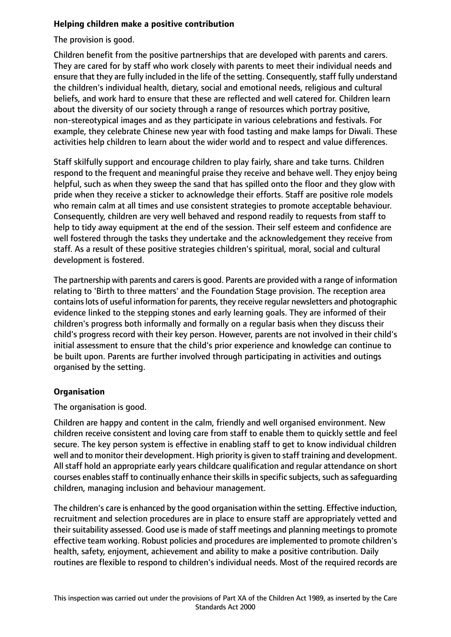# **Helping children make a positive contribution**

The provision is good.

Children benefit from the positive partnerships that are developed with parents and carers. They are cared for by staff who work closely with parents to meet their individual needs and ensure that they are fully included in the life of the setting. Consequently, staff fully understand the children's individual health, dietary, social and emotional needs, religious and cultural beliefs, and work hard to ensure that these are reflected and well catered for. Children learn about the diversity of our society through a range of resources which portray positive, non-stereotypical images and as they participate in various celebrations and festivals. For example, they celebrate Chinese new year with food tasting and make lamps for Diwali. These activities help children to learn about the wider world and to respect and value differences.

Staff skilfully support and encourage children to play fairly, share and take turns. Children respond to the frequent and meaningful praise they receive and behave well. They enjoy being helpful, such as when they sweep the sand that has spilled onto the floor and they glow with pride when they receive a sticker to acknowledge their efforts. Staff are positive role models who remain calm at all times and use consistent strategies to promote acceptable behaviour. Consequently, children are very well behaved and respond readily to requests from staff to help to tidy away equipment at the end of the session. Their self esteem and confidence are well fostered through the tasks they undertake and the acknowledgement they receive from staff. As a result of these positive strategies children's spiritual, moral, social and cultural development is fostered.

The partnership with parents and carersis good. Parents are provided with a range of information relating to 'Birth to three matters' and the Foundation Stage provision. The reception area containslots of useful information for parents, they receive regular newsletters and photographic evidence linked to the stepping stones and early learning goals. They are informed of their children's progress both informally and formally on a regular basis when they discuss their child's progress record with their key person. However, parents are not involved in their child's initial assessment to ensure that the child's prior experience and knowledge can continue to be built upon. Parents are further involved through participating in activities and outings organised by the setting.

## **Organisation**

The organisation is good.

Children are happy and content in the calm, friendly and well organised environment. New children receive consistent and loving care from staff to enable them to quickly settle and feel secure. The key person system is effective in enabling staff to get to know individual children well and to monitor their development. High priority is given to staff training and development. All staff hold an appropriate early years childcare qualification and regular attendance on short courses enables staff to continually enhance their skills in specific subjects, such as safequarding children, managing inclusion and behaviour management.

The children's care is enhanced by the good organisation within the setting. Effective induction, recruitment and selection procedures are in place to ensure staff are appropriately vetted and their suitability assessed. Good use is made of staff meetings and planning meetings to promote effective team working. Robust policies and procedures are implemented to promote children's health, safety, enjoyment, achievement and ability to make a positive contribution. Daily routines are flexible to respond to children's individual needs. Most of the required records are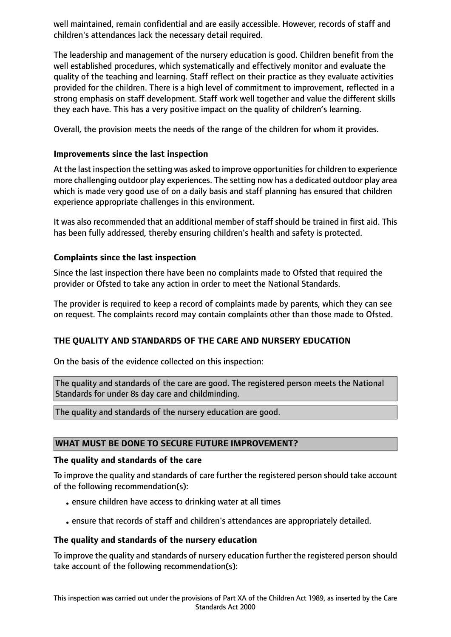well maintained, remain confidential and are easily accessible. However, records of staff and children's attendances lack the necessary detail required.

The leadership and management of the nursery education is good. Children benefit from the well established procedures, which systematically and effectively monitor and evaluate the quality of the teaching and learning. Staff reflect on their practice as they evaluate activities provided for the children. There is a high level of commitment to improvement, reflected in a strong emphasis on staff development. Staff work well together and value the different skills they each have. This has a very positive impact on the quality of children's learning.

Overall, the provision meets the needs of the range of the children for whom it provides.

# **Improvements since the last inspection**

At the last inspection the setting was asked to improve opportunities for children to experience more challenging outdoor play experiences. The setting now has a dedicated outdoor play area which is made very good use of on a daily basis and staff planning has ensured that children experience appropriate challenges in this environment.

It was also recommended that an additional member of staff should be trained in first aid. This has been fully addressed, thereby ensuring children's health and safety is protected.

# **Complaints since the last inspection**

Since the last inspection there have been no complaints made to Ofsted that required the provider or Ofsted to take any action in order to meet the National Standards.

The provider is required to keep a record of complaints made by parents, which they can see on request. The complaints record may contain complaints other than those made to Ofsted.

# **THE QUALITY AND STANDARDS OF THE CARE AND NURSERY EDUCATION**

On the basis of the evidence collected on this inspection:

The quality and standards of the care are good. The registered person meets the National Standards for under 8s day care and childminding.

The quality and standards of the nursery education are good.

## **WHAT MUST BE DONE TO SECURE FUTURE IMPROVEMENT?**

## **The quality and standards of the care**

To improve the quality and standards of care further the registered person should take account of the following recommendation(s):

- •ensure children have access to drinking water at all times
- •ensure that records of staff and children's attendances are appropriately detailed.

## **The quality and standards of the nursery education**

To improve the quality and standards of nursery education further the registered person should take account of the following recommendation(s):